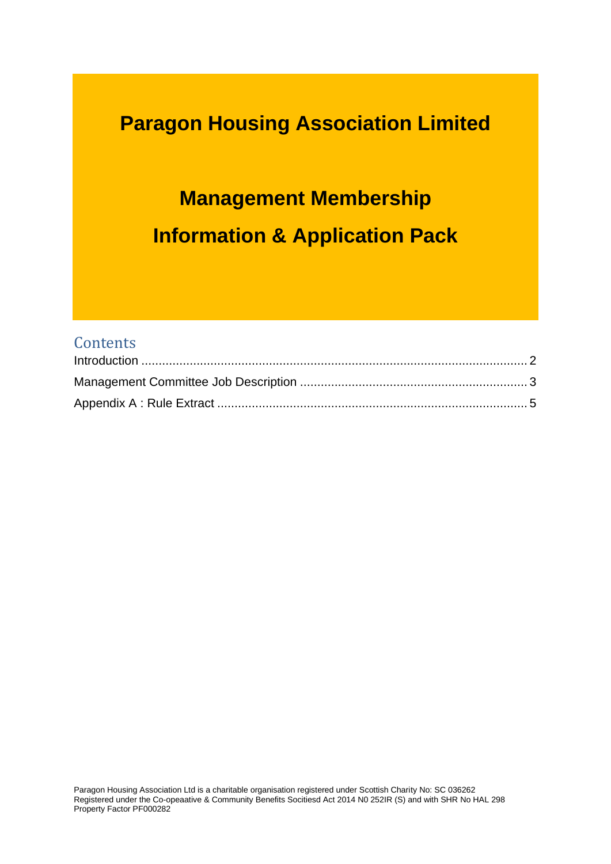## **Paragon Housing Association Limited**

# **Management Membership Information & Application Pack**

#### **Contents**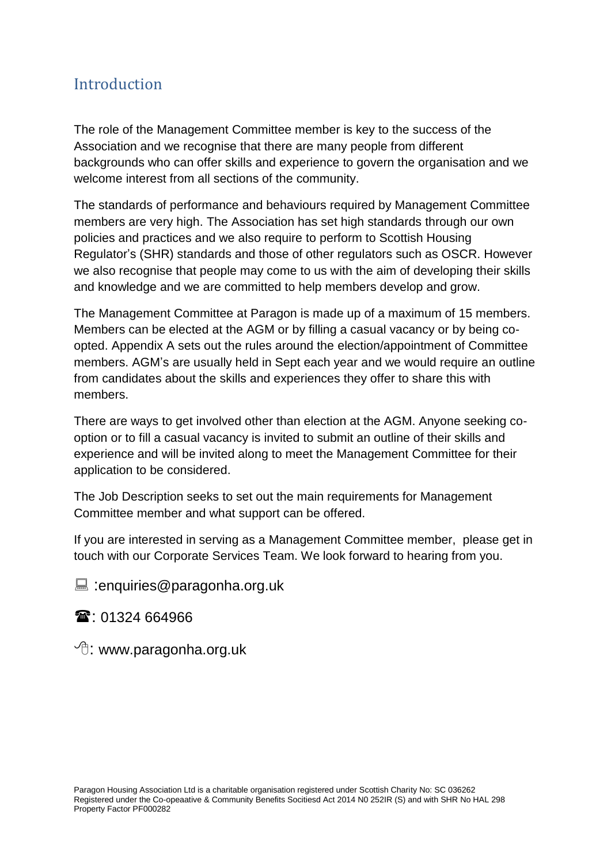### <span id="page-1-0"></span>**Introduction**

The role of the Management Committee member is key to the success of the Association and we recognise that there are many people from different backgrounds who can offer skills and experience to govern the organisation and we welcome interest from all sections of the community.

The standards of performance and behaviours required by Management Committee members are very high. The Association has set high standards through our own policies and practices and we also require to perform to Scottish Housing Regulator's (SHR) standards and those of other regulators such as OSCR. However we also recognise that people may come to us with the aim of developing their skills and knowledge and we are committed to help members develop and grow.

The Management Committee at Paragon is made up of a maximum of 15 members. Members can be elected at the AGM or by filling a casual vacancy or by being coopted. Appendix A sets out the rules around the election/appointment of Committee members. AGM's are usually held in Sept each year and we would require an outline from candidates about the skills and experiences they offer to share this with members.

There are ways to get involved other than election at the AGM. Anyone seeking cooption or to fill a casual vacancy is invited to submit an outline of their skills and experience and will be invited along to meet the Management Committee for their application to be considered.

The Job Description seeks to set out the main requirements for Management Committee member and what support can be offered.

If you are interested in serving as a Management Committee member, please get in touch with our Corporate Services Team. We look forward to hearing from you.

enquiries@paragonha.org.uk

1324 664966

 $\sqrt{\overline{C}}$ : www.paragonha.org.uk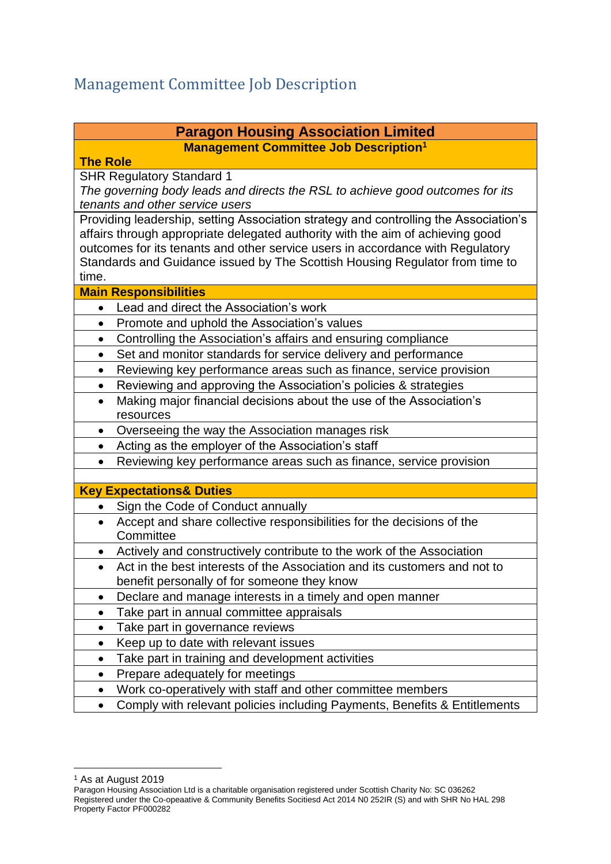## <span id="page-2-0"></span>Management Committee Job Description

#### **Paragon Housing Association Limited Management Committee Job Description<sup>1</sup>**

#### **The Role**

SHR Regulatory Standard 1

*The governing body leads and directs the RSL to achieve good outcomes for its tenants and other service users*

Providing leadership, setting Association strategy and controlling the Association's affairs through appropriate delegated authority with the aim of achieving good outcomes for its tenants and other service users in accordance with Regulatory Standards and Guidance issued by The Scottish Housing Regulator from time to time.

#### **Main Responsibilities**

- Lead and direct the Association's work
- Promote and uphold the Association's values
- Controlling the Association's affairs and ensuring compliance
- Set and monitor standards for service delivery and performance
- Reviewing key performance areas such as finance, service provision
- Reviewing and approving the Association's policies & strategies
- Making major financial decisions about the use of the Association's resources
- Overseeing the way the Association manages risk
- Acting as the employer of the Association's staff
- Reviewing key performance areas such as finance, service provision

#### **Key Expectations& Duties**

- Sign the Code of Conduct annually
- Accept and share collective responsibilities for the decisions of the **Committee**
- Actively and constructively contribute to the work of the Association
- Act in the best interests of the Association and its customers and not to benefit personally of for someone they know
- Declare and manage interests in a timely and open manner
- Take part in annual committee appraisals
- Take part in governance reviews
- Keep up to date with relevant issues
- Take part in training and development activities
- Prepare adequately for meetings
- Work co-operatively with staff and other committee members
- Comply with relevant policies including Payments, Benefits & Entitlements

<u>.</u>

<sup>1</sup> As at August 2019

Paragon Housing Association Ltd is a charitable organisation registered under Scottish Charity No: SC 036262 Registered under the Co-opeaative & Community Benefits Socitiesd Act 2014 N0 252IR (S) and with SHR No HAL 298 Property Factor PF000282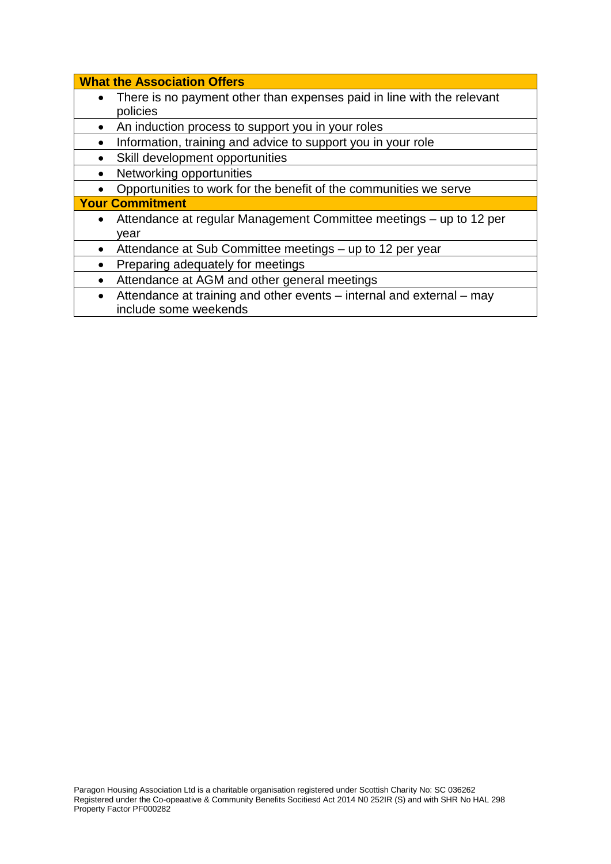| policies               | There is no payment other than expenses paid in line with the relevant |
|------------------------|------------------------------------------------------------------------|
|                        |                                                                        |
|                        |                                                                        |
|                        | An induction process to support you in your roles                      |
|                        | Information, training and advice to support you in your role           |
|                        | Skill development opportunities                                        |
|                        | Networking opportunities                                               |
|                        | Opportunities to work for the benefit of the communities we serve      |
| <b>Your Commitment</b> |                                                                        |
|                        | Attendance at regular Management Committee meetings – up to 12 per     |
| vear                   |                                                                        |
| $\bullet$              | Attendance at Sub Committee meetings - up to 12 per year               |
|                        | Preparing adequately for meetings                                      |
| $\bullet$              | Attendance at AGM and other general meetings                           |
| $\bullet$              | Attendance at training and other events – internal and external – may  |
|                        | include some weekends                                                  |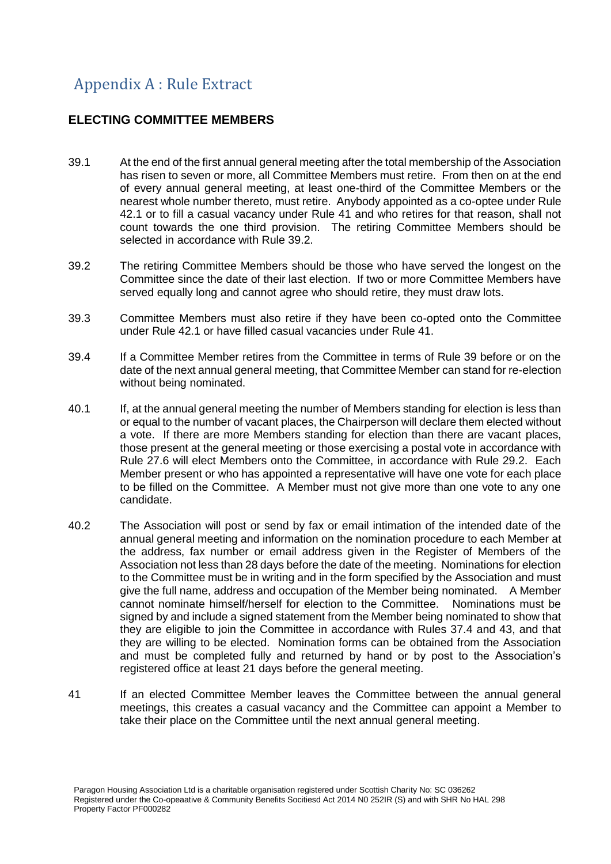## <span id="page-4-0"></span>Appendix A : Rule Extract

#### **ELECTING COMMITTEE MEMBERS**

- 39.1 At the end of the first annual general meeting after the total membership of the Association has risen to seven or more, all Committee Members must retire. From then on at the end of every annual general meeting, at least one-third of the Committee Members or the nearest whole number thereto, must retire. Anybody appointed as a co-optee under Rule 42.1 or to fill a casual vacancy under Rule 41 and who retires for that reason, shall not count towards the one third provision. The retiring Committee Members should be selected in accordance with Rule 39.2.
- 39.2 The retiring Committee Members should be those who have served the longest on the Committee since the date of their last election. If two or more Committee Members have served equally long and cannot agree who should retire, they must draw lots.
- 39.3 Committee Members must also retire if they have been co-opted onto the Committee under Rule 42.1 or have filled casual vacancies under Rule 41.
- 39.4 If a Committee Member retires from the Committee in terms of Rule 39 before or on the date of the next annual general meeting, that Committee Member can stand for re-election without being nominated.
- 40.1 If, at the annual general meeting the number of Members standing for election is less than or equal to the number of vacant places, the Chairperson will declare them elected without a vote. If there are more Members standing for election than there are vacant places, those present at the general meeting or those exercising a postal vote in accordance with Rule 27.6 will elect Members onto the Committee, in accordance with Rule 29.2. Each Member present or who has appointed a representative will have one vote for each place to be filled on the Committee. A Member must not give more than one vote to any one candidate.
- 40.2 The Association will post or send by fax or email intimation of the intended date of the annual general meeting and information on the nomination procedure to each Member at the address, fax number or email address given in the Register of Members of the Association not less than 28 days before the date of the meeting. Nominations for election to the Committee must be in writing and in the form specified by the Association and must give the full name, address and occupation of the Member being nominated. A Member cannot nominate himself/herself for election to the Committee. Nominations must be signed by and include a signed statement from the Member being nominated to show that they are eligible to join the Committee in accordance with Rules 37.4 and 43, and that they are willing to be elected. Nomination forms can be obtained from the Association and must be completed fully and returned by hand or by post to the Association's registered office at least 21 days before the general meeting.
- 41 If an elected Committee Member leaves the Committee between the annual general meetings, this creates a casual vacancy and the Committee can appoint a Member to take their place on the Committee until the next annual general meeting.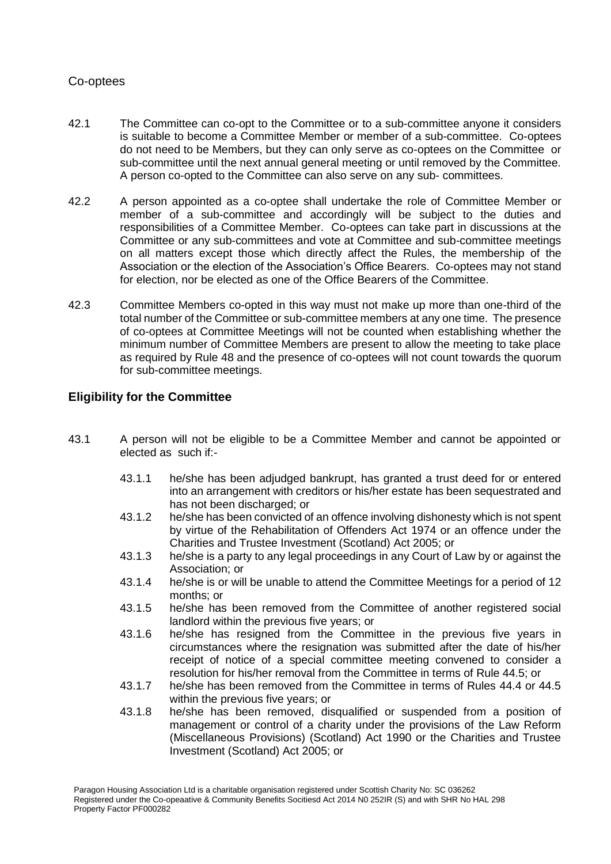#### Co-optees

- 42.1 The Committee can co-opt to the Committee or to a sub-committee anyone it considers is suitable to become a Committee Member or member of a sub-committee. Co-optees do not need to be Members, but they can only serve as co-optees on the Committee or sub-committee until the next annual general meeting or until removed by the Committee. A person co-opted to the Committee can also serve on any sub- committees.
- 42.2 A person appointed as a co-optee shall undertake the role of Committee Member or member of a sub-committee and accordingly will be subject to the duties and responsibilities of a Committee Member. Co-optees can take part in discussions at the Committee or any sub-committees and vote at Committee and sub-committee meetings on all matters except those which directly affect the Rules, the membership of the Association or the election of the Association's Office Bearers. Co-optees may not stand for election, nor be elected as one of the Office Bearers of the Committee.
- 42.3 Committee Members co-opted in this way must not make up more than one-third of the total number of the Committee or sub-committee members at any one time. The presence of co-optees at Committee Meetings will not be counted when establishing whether the minimum number of Committee Members are present to allow the meeting to take place as required by Rule 48 and the presence of co-optees will not count towards the quorum for sub-committee meetings.

#### **Eligibility for the Committee**

- 43.1 A person will not be eligible to be a Committee Member and cannot be appointed or elected as such if:-
	- 43.1.1 he/she has been adjudged bankrupt, has granted a trust deed for or entered into an arrangement with creditors or his/her estate has been sequestrated and has not been discharged; or
	- 43.1.2 he/she has been convicted of an offence involving dishonesty which is not spent by virtue of the Rehabilitation of Offenders Act 1974 or an offence under the Charities and Trustee Investment (Scotland) Act 2005; or
	- 43.1.3 he/she is a party to any legal proceedings in any Court of Law by or against the Association; or
	- 43.1.4 he/she is or will be unable to attend the Committee Meetings for a period of 12 months; or
	- 43.1.5 he/she has been removed from the Committee of another registered social landlord within the previous five years; or
	- 43.1.6 he/she has resigned from the Committee in the previous five years in circumstances where the resignation was submitted after the date of his/her receipt of notice of a special committee meeting convened to consider a resolution for his/her removal from the Committee in terms of Rule 44.5; or
	- 43.1.7 he/she has been removed from the Committee in terms of Rules 44.4 or 44.5 within the previous five years; or
	- 43.1.8 he/she has been removed, disqualified or suspended from a position of management or control of a charity under the provisions of the Law Reform (Miscellaneous Provisions) (Scotland) Act 1990 or the Charities and Trustee Investment (Scotland) Act 2005; or